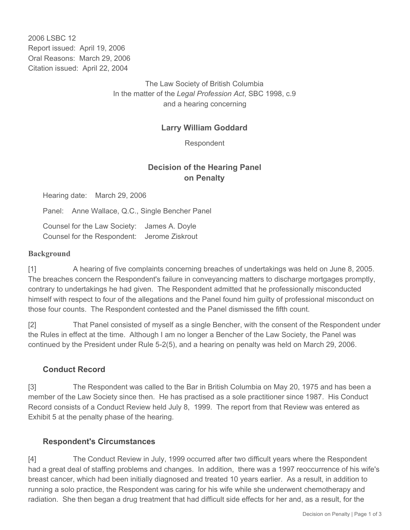2006 LSBC 12 Report issued: April 19, 2006 Oral Reasons: March 29, 2006 Citation issued: April 22, 2004

> The Law Society of British Columbia In the matter of the *Legal Profession Act*, SBC 1998, c.9 and a hearing concerning

## **Larry William Goddard**

Respondent

# **Decision of the Hearing Panel on Penalty**

Hearing date: March 29, 2006

Panel: Anne Wallace, Q.C., Single Bencher Panel

Counsel for the Law Society: James A. Doyle Counsel for the Respondent: Jerome Ziskrout

#### **Background**

[1] A hearing of five complaints concerning breaches of undertakings was held on June 8, 2005. The breaches concern the Respondent's failure in conveyancing matters to discharge mortgages promptly, contrary to undertakings he had given. The Respondent admitted that he professionally misconducted himself with respect to four of the allegations and the Panel found him guilty of professional misconduct on those four counts. The Respondent contested and the Panel dismissed the fifth count.

[2] That Panel consisted of myself as a single Bencher, with the consent of the Respondent under the Rules in effect at the time. Although I am no longer a Bencher of the Law Society, the Panel was continued by the President under Rule 5-2(5), and a hearing on penalty was held on March 29, 2006.

#### **Conduct Record**

[3] The Respondent was called to the Bar in British Columbia on May 20, 1975 and has been a member of the Law Society since then. He has practised as a sole practitioner since 1987. His Conduct Record consists of a Conduct Review held July 8, 1999. The report from that Review was entered as Exhibit 5 at the penalty phase of the hearing.

#### **Respondent's Circumstances**

[4] The Conduct Review in July, 1999 occurred after two difficult years where the Respondent had a great deal of staffing problems and changes. In addition, there was a 1997 reoccurrence of his wife's breast cancer, which had been initially diagnosed and treated 10 years earlier. As a result, in addition to running a solo practice, the Respondent was caring for his wife while she underwent chemotherapy and radiation. She then began a drug treatment that had difficult side effects for her and, as a result, for the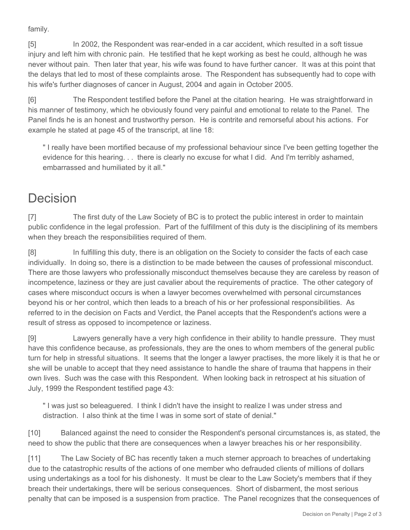family.

[5] In 2002, the Respondent was rear-ended in a car accident, which resulted in a soft tissue injury and left him with chronic pain. He testified that he kept working as best he could, although he was never without pain. Then later that year, his wife was found to have further cancer. It was at this point that the delays that led to most of these complaints arose. The Respondent has subsequently had to cope with his wife's further diagnoses of cancer in August, 2004 and again in October 2005.

[6] The Respondent testified before the Panel at the citation hearing. He was straightforward in his manner of testimony, which he obviously found very painful and emotional to relate to the Panel. The Panel finds he is an honest and trustworthy person. He is contrite and remorseful about his actions. For example he stated at page 45 of the transcript, at line 18:

" I really have been mortified because of my professional behaviour since I've been getting together the evidence for this hearing. . . there is clearly no excuse for what I did. And I'm terribly ashamed, embarrassed and humiliated by it all."

# Decision

[7] The first duty of the Law Society of BC is to protect the public interest in order to maintain public confidence in the legal profession. Part of the fulfillment of this duty is the disciplining of its members when they breach the responsibilities required of them.

[8] In fulfilling this duty, there is an obligation on the Society to consider the facts of each case individually. In doing so, there is a distinction to be made between the causes of professional misconduct. There are those lawyers who professionally misconduct themselves because they are careless by reason of incompetence, laziness or they are just cavalier about the requirements of practice. The other category of cases where misconduct occurs is when a lawyer becomes overwhelmed with personal circumstances beyond his or her control, which then leads to a breach of his or her professional responsibilities. As referred to in the decision on Facts and Verdict, the Panel accepts that the Respondent's actions were a result of stress as opposed to incompetence or laziness.

[9] Lawyers generally have a very high confidence in their ability to handle pressure. They must have this confidence because, as professionals, they are the ones to whom members of the general public turn for help in stressful situations. It seems that the longer a lawyer practises, the more likely it is that he or she will be unable to accept that they need assistance to handle the share of trauma that happens in their own lives. Such was the case with this Respondent. When looking back in retrospect at his situation of July, 1999 the Respondent testified page 43:

" I was just so beleaguered. I think I didn't have the insight to realize I was under stress and distraction. I also think at the time I was in some sort of state of denial."

[10] Balanced against the need to consider the Respondent's personal circumstances is, as stated, the need to show the public that there are consequences when a lawyer breaches his or her responsibility.

[11] The Law Society of BC has recently taken a much sterner approach to breaches of undertaking due to the catastrophic results of the actions of one member who defrauded clients of millions of dollars using undertakings as a tool for his dishonesty. It must be clear to the Law Society's members that if they breach their undertakings, there will be serious consequences. Short of disbarment, the most serious penalty that can be imposed is a suspension from practice. The Panel recognizes that the consequences of